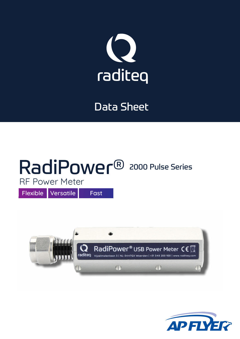

## Data Sheet

## RadiPower<sup>®</sup> 2000 Pulse Series RF Power Meter

Flexible Versatile Fast



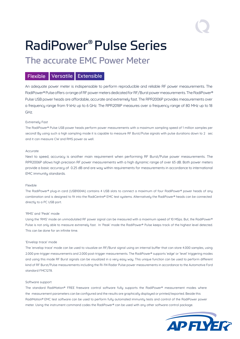# RadiPower® Pulse Series

### The accurate EMC Power Meter

### Flexible Versatile Extensible

An adequate power meter is indispensable to perform reproducible and reliable RF power measurements. The RadiPower® Pulse offers a range of RF power meters dedicated for RF/Burst power measurements. The RadiPower® Pulse USB power heads are affordable, accurate and extremely fast. The RPR2006P provides measurements over a frequency range from 9 kHz up to 6 GHz. The RPR2018P measures over a frequency range of 80 MHz up to 18 GHz.

#### Extremely Fast

The RadiPower® Pulse USB power heads perform power measurements with a maximum sampling speed of 1 million samples per second! By using such a high sampling mode it is capable to measure RF Burst/Pulse signals with pulse durations down to 2 sec and it can measure CW and RMS power as well.

#### Accurate

Next to speed, accuracy is another main requirement when performing RF Burst/Pulse power measurements. The RPR2006P allows high precision RF power measurements with a high dynamic range of over 65 dB. Both power meters provide a basic accuracy of 0.25 dB and are way within requirements for measurements in accordance to international EMC immunity standards.

#### Flexible

The RadiPower® plug-in card (USB1004A) contains 4 USB slots to connect a maximum of four RadiPower® power heads of any combination and is designed to fit into the RadiCentre® EMC test systems. Alternatively the RadiPower® heads can be connected directly to a PC USB port.

#### 'RMS' and 'Peak' mode

Using the 'RMS' mode an unmodulated RF power signal can be measured with a maximum speed of 10 MSps. But, the RadiPower® Pulse is not only able to measure extremely fast. In 'Peak' mode the RadiPower® Pulse keeps track of the highest level detected. This can be done for an infinite time.

#### 'Envelop trace' mode

The 'envelop trace' mode can be used to visualize an RF/Burst signal using an internal buffer that can store 4.000 samples, using 2.000 pre-trigger measurements and 2.000 post-trigger measurements. The RadiPower® supports 'edge' or 'level' triggering modes and using this mode RF Burst signals can be visualized in a very easy way. This unique function can be used to perform different kind of RF Burst/Pulse measurements including the RI-114 Radar Pulse power measurements in accordance to the Automotive Ford standard FMC1278.

#### Software support

The standard RadiMation® FREE freeware control software fully supports the RadiPower® measurement modes where the measurement parameters can be configured and the results are graphically displayed or printed/exported. Beside this RadiMation® EMC test software can be used to perform fully automated immunity tests and control of the RadiPower power meter. Using the instrument command codes the RadiPower® can be used with any other software control package.